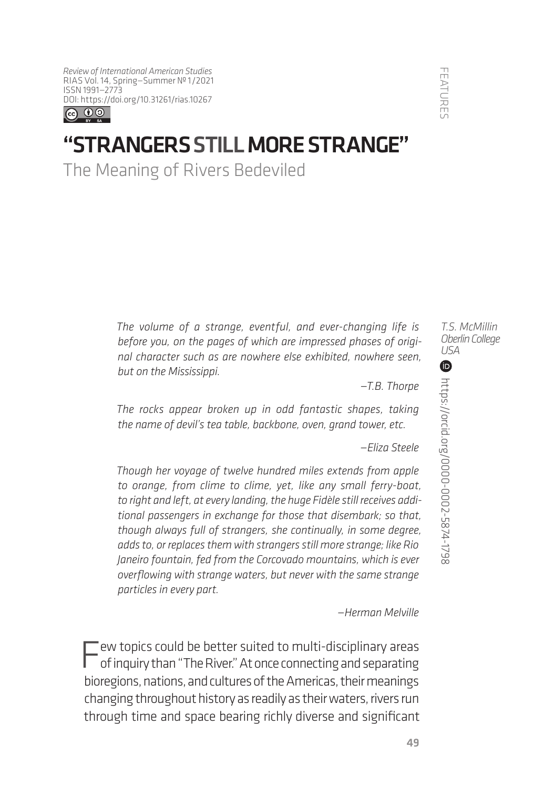*Review of International American Studies* RIAS Vol. 14, Spring—Summer № 1/2021 ISSN 1991—2773 [DOI: https://doi.org](https://doi.org/10.31261/rias.10267)/10.31261/rias.10267



## "STRANGERS STILL MORE STRANGE"

The Meaning of Rivers Bedeviled

*The volume of a strange, eventful, and ever-changing life is before you, on the pages of which are impressed phases of original character such as are nowhere else exhibited, nowhere seen, but on the Mississippi.*

*—T.B. Thorpe*

*The rocks appear broken up in odd fantastic shapes, taking the name of devil's tea table, backbone, oven, grand tower, etc.*

*—Eliza Steele*

*Though her voyage of twelve hundred miles extends from apple to orange, from clime to clime, yet, like any small ferry-boat, to right and left, at every landing, the huge Fidèle still receives additional passengers in exchange for those that disembark; so that, though always full of strangers, she continually, in some degree, adds to, or replaces them with strangers still more strange; like Rio Janeiro fountain, fed from the Corcovado mountains, which is ever overflowing with strange waters, but never with the same strange particles in every part.*

*—Herman Melville*

'ew topics could be better suited to multi-disciplinary areas of inquiry than "The River." At once connecting and separating bioregions, nations, and cultures of the Americas, their meanings changing throughout history as readily as their waters, rivers run through time and space bearing richly diverse and significant *T.S. McMillin Oberlin College USA*

**FEATURE**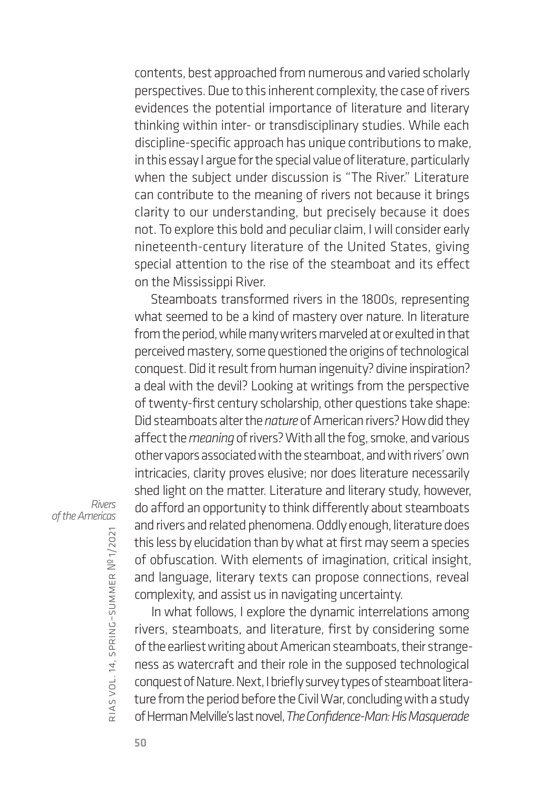contents, best approached from numerous and varied scholarly perspectives. Due to this inherent complexity, the case of rivers evidences the potential importance of literature and literary thinking within inter- or transdisciplinary studies. While each discipline-specific approach has unique contributions to make, in this essay I argue for the special value of literature, particularly when the subject under discussion is "The River." Literature can contribute to the meaning of rivers not because it brings clarity to our understanding, but precisely because it does not. To explore this bold and peculiar claim, I will consider early nineteenth-century literature of the United States, giving special attention to the rise of the steamboat and its effect on the Mississippi River.

Steamboats transformed rivers in the 1800s, representing what seemed to be a kind of mastery over nature. In literature from the period, while many writers marveled at or exulted in that perceived mastery, some questioned the origins of technological conquest. Did it result from human ingenuity? divine inspiration? a deal with the devil? Looking at writings from the perspective of twenty-first century scholarship, other questions take shape: Did steamboats alter the *nature* of American rivers? How did they affect the *meaning* of rivers? With all the fog, smoke, and various other vapors associated with the steamboat, and with rivers' own intricacies, clarity proves elusive; nor does literature necessarily shed light on the matter. Literature and literary study, however, do afford an opportunity to think differently about steamboats and rivers and related phenomena. Oddly enough, literature does this less by elucidation than by what at first may seem a species of obfuscation. With elements of imagination, critical insight, complexity, and assist us in navigating uncertainty.

and language, literary texts can propose connections, reveal In what follows, I explore the dynamic interrelations among rivers, steamboats, and literature, first by considering some of the earliest writing about American steamboats, their strangeness as watercraft and their role in the supposed technological conquest of Nature. Next, I briefly survey types of steamboat literature from the period before the Civil War, concluding with a study of Herman Melville's last novel, *The Confidence-Man: His Masquerade* 

*Rivers of the Americas*

rias

vol. 14, spring–summer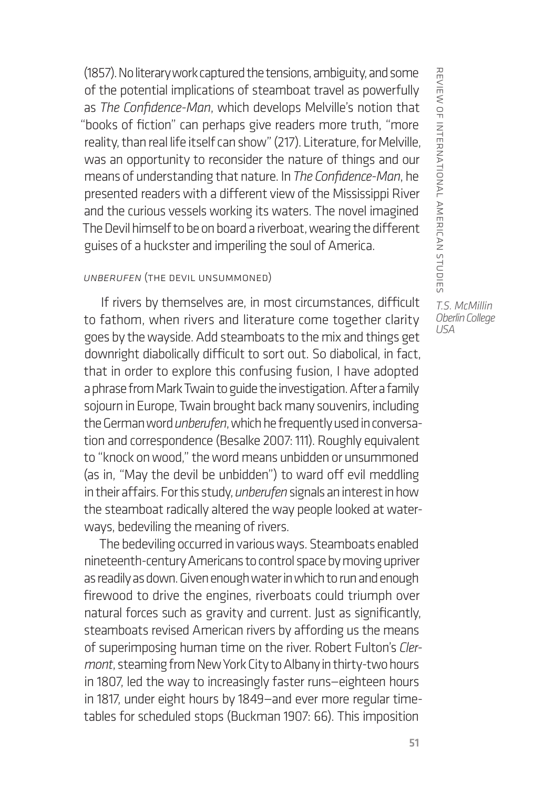(1857). No literary work captured the tensions, ambiguity, and some of the potential implications of steamboat travel as powerfully as *The Confidence-Man*, which develops Melville's notion that "books of fiction" can perhaps give readers more truth, "more reality, than real life itself can show" (217). Literature, for Melville, was an opportunity to reconsider the nature of things and our means of understanding that nature. In *The Confidence-Man*, he presented readers with a different view of the Mississippi River and the curious vessels working its waters. The novel imagined The Devil himself to be on board a riverboat, wearing the different guises of a huckster and imperiling the soul of America.

## *Unberufen* (The Devil Unsummoned)

If rivers by themselves are, in most circumstances, difficult to fathom, when rivers and literature come together clarity goes by the wayside. Add steamboats to the mix and things get downright diabolically difficult to sort out. So diabolical, in fact, that in order to explore this confusing fusion, I have adopted a phrase from Mark Twain to guide the investigation. After a family sojourn in Europe, Twain brought back many souvenirs, including the German word *unberufen*, which he frequently used in conversation and correspondence (Besalke 2007: 111). Roughly equivalent to "knock on wood," the word means unbidden or unsummoned (as in, "May the devil be unbidden") to ward off evil meddling in their affairs. For this study, *unberufen* signals an interest in how the steamboat radically altered the way people looked at waterways, bedeviling the meaning of rivers.

The bedeviling occurred in various ways. Steamboats enabled nineteenth-century Americans to control space by moving upriver as readily as down. Given enough water in which to run and enough firewood to drive the engines, riverboats could triumph over natural forces such as gravity and current. Just as significantly, steamboats revised American rivers by affording us the means of superimposing human time on the river. Robert Fulton's *Clermont*, steaming from New York City to Albany in thirty-two hours in 1807, led the way to increasingly faster runs—eighteen hours in 1817, under eight hours by 1849—and ever more regular timetables for scheduled stops (Buckman 1907: 66). This imposition

REVIEW OF INTERNATIONAL AMERICAN STUDIES review of international american studies *T.S. McMillin Oberlin College USA*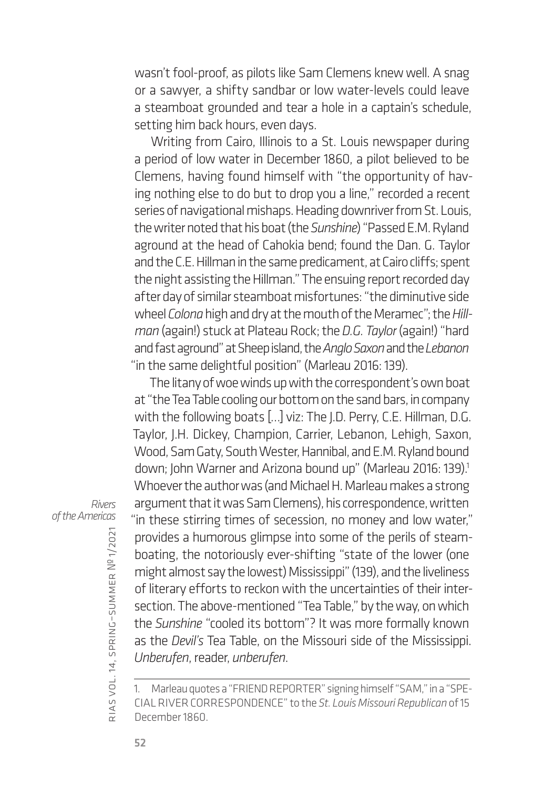wasn't fool-proof, as pilots like Sam Clemens knew well. A snag or a sawyer, a shifty sandbar or low water-levels could leave a steamboat grounded and tear a hole in a captain's schedule, setting him back hours, even days.

Writing from Cairo, Illinois to a St. Louis newspaper during a period of low water in December 1860, a pilot believed to be Clemens, having found himself with "the opportunity of having nothing else to do but to drop you a line," recorded a recent series of navigational mishaps. Heading downriver from St. Louis, the writer noted that his boat (the *Sunshine*) "Passed E.M. Ryland aground at the head of Cahokia bend; found the Dan. G. Taylor and the C.E. Hillman in the same predicament, at Cairo cliffs; spent the night assisting the Hillman." The ensuing report recorded day after day of similar steamboat misfortunes: "the diminutive side wheel *Colona* high and dry at the mouth of the Meramec"; the *Hillman* (again!) stuck at Plateau Rock; the *D.G. Taylor* (again!) "hard and fast aground" at Sheep island, the *Anglo Saxon* and the *Lebanon* "in the same delightful position" (Marleau 2016: 139).

The litany of woe winds up with the correspondent's own boat at "the Tea Table cooling our bottom on the sand bars, in company with the following boats […] viz: The J.D. Perry, C.E. Hillman, D.G. Taylor, J.H. Dickey, Champion, Carrier, Lebanon, Lehigh, Saxon, Wood, Sam Gaty, South Wester, Hannibal, and E.M. Ryland bound down; John Warner and Arizona bound up" (Marleau 2016: 139).<sup>1</sup> Whoever the author was (and Michael H. Marleau makes a strong argument that it was Sam Clemens), his correspondence, written "in these stirring times of secession, no money and low water," provides a humorous glimpse into some of the perils of steamboating, the notoriously ever-shifting "state of the lower (one might almost say the lowest) Mississippi" (139), and the liveliness of literary efforts to reckon with the uncertainties of their intersection. The above-mentioned "Tea Table," by the way, on which the *Sunshine* "cooled its bottom"? It was more formally known as the *Devil's* Tea Table, on the Missouri side of the Mississippi. *Unberufen*, reader, *unberufen*.

*Rivers of the Americas*

rias

vol. 14, spring–summer

<sup>1.</sup> Marleau quotes a "FRIEND REPORTER" signing himself "SAM," in a "SPE-CIAL RIVER CORRESPONDENCE" to the *St. Louis Missouri Republican* of 15 December 1860.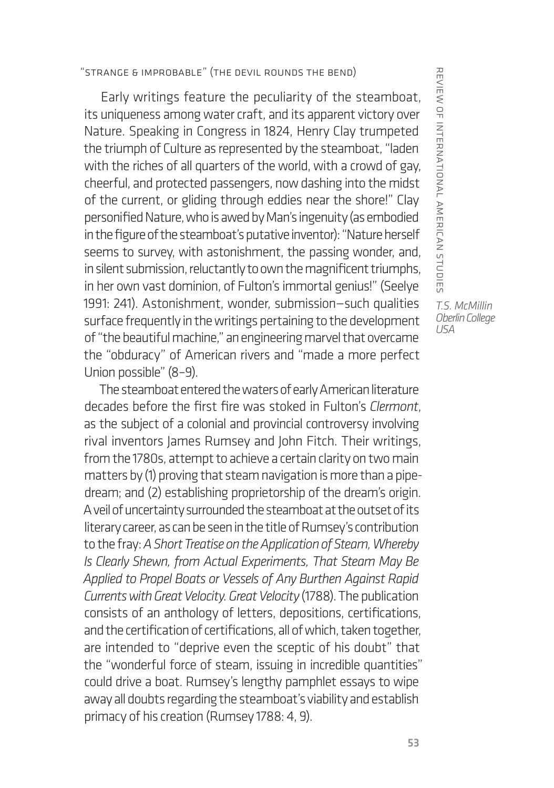## "Strange & Improbable" (The Devil Rounds the Bend)

Early writings feature the peculiarity of the steamboat, its uniqueness among water craft, and its apparent victory over Nature. Speaking in Congress in 1824, Henry Clay trumpeted the triumph of Culture as represented by the steamboat, "laden with the riches of all quarters of the world, with a crowd of gay, cheerful, and protected passengers, now dashing into the midst of the current, or gliding through eddies near the shore!" Clay personified Nature, who is awed by Man's ingenuity (as embodied in the figure of the steamboat's putative inventor): "Nature herself seems to survey, with astonishment, the passing wonder, and, in silent submission, reluctantly to own the magnificent triumphs, in her own vast dominion, of Fulton's immortal genius!" (Seelye 1991: 241). Astonishment, wonder, submission—such qualities surface frequently in the writings pertaining to the development of "the beautiful machine," an engineering marvel that overcame the "obduracy" of American rivers and "made a more perfect Union possible" (8–9).

The steamboat entered the waters of early American literature decades before the first fire was stoked in Fulton's *Clermont*, as the subject of a colonial and provincial controversy involving rival inventors James Rumsey and John Fitch. Their writings, from the 1780s, attempt to achieve a certain clarity on two main matters by (1) proving that steam navigation is more than a pipedream; and (2) establishing proprietorship of the dream's origin. A veil of uncertainty surrounded the steamboat at the outset of its literary career, as can be seen in the title of Rumsey's contribution to the fray: *A Short Treatise on the Application of Steam, Whereby Is Clearly Shewn, from Actual Experiments, That Steam May Be Applied to Propel Boats or Vessels of Any Burthen Against Rapid Currents with Great Velocity. Great Velocity* (1788). The publication consists of an anthology of letters, depositions, certifications, and the certification of certifications, all of which, taken together, are intended to "deprive even the sceptic of his doubt" that the "wonderful force of steam, issuing in incredible quantities" could drive a boat. Rumsey's lengthy pamphlet essays to wipe away all doubts regarding the steamboat's viability and establish primacy of his creation (Rumsey 1788: 4, 9).

REVIERING INTERNAL AMERICAN STUDIE' review of international american studies *T.S. McMillin Oberlin College USA*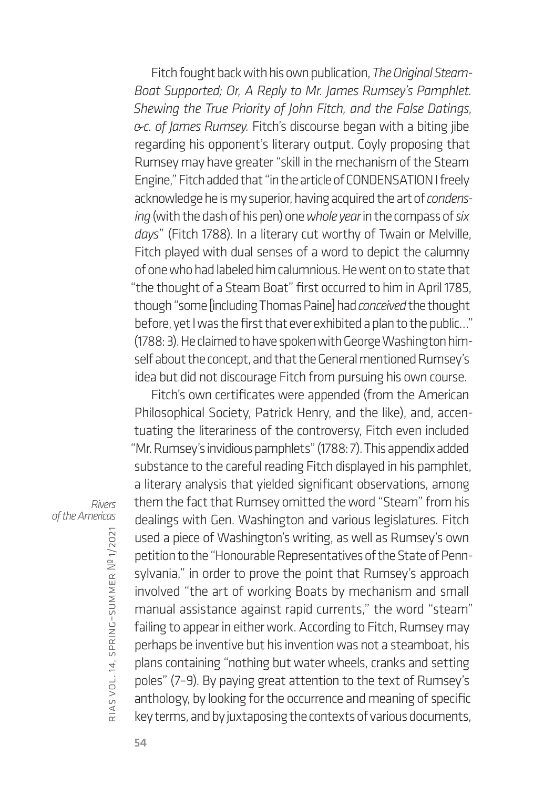Fitch fought back with his own publication, *The Original Steam-Boat Supported; Or, A Reply to Mr. James Rumsey's Pamphlet. Shewing the True Priority of John Fitch, and the False Datings, &c. of James Rumsey.* Fitch's discourse began with a biting jibe regarding his opponent's literary output. Coyly proposing that Rumsey may have greater "skill in the mechanism of the Steam Engine," Fitch added that "in the article of CONDENSATION I freely acknowledge he is my superior, having acquired the art of *condensing* (with the dash of his pen) one *whole year* in the compass of *six days*" (Fitch 1788). In a literary cut worthy of Twain or Melville, Fitch played with dual senses of a word to depict the calumny of one who had labeled him calumnious. He went on to state that "the thought of a Steam Boat" first occurred to him in April 1785, though "some [including Thomas Paine] had *conceived* the thought before, yet I was the first that ever exhibited a plan to the public…" (1788: 3). He claimed to have spoken with George Washington himself about the concept, and that the General mentioned Rumsey's idea but did not discourage Fitch from pursuing his own course.

Fitch's own certificates were appended (from the American Philosophical Society, Patrick Henry, and the like), and, accentuating the literariness of the controversy, Fitch even included "Mr. Rumsey's invidious pamphlets" (1788: 7). This appendix added substance to the careful reading Fitch displayed in his pamphlet, a literary analysis that yielded significant observations, among them the fact that Rumsey omitted the word "Steam" from his dealings with Gen. Washington and various legislatures. Fitch used a piece of Washington's writing, as well as Rumsey's own petition to the "Honourable Representatives of the State of Pennsylvania," in order to prove the point that Rumsey's approach involved "the art of working Boats by mechanism and small manual assistance against rapid currents," the word "steam" failing to appear in either work. According to Fitch, Rumsey may perhaps be inventive but his invention was not a steamboat, his plans containing "nothing but water wheels, cranks and setting poles" (7–9). By paying great attention to the text of Rumsey's anthology, by looking for the occurrence and meaning of specific key terms, and by juxtaposing the contexts of various documents,

*Rivers of the Americas*

rias

vol. 14, spring–summer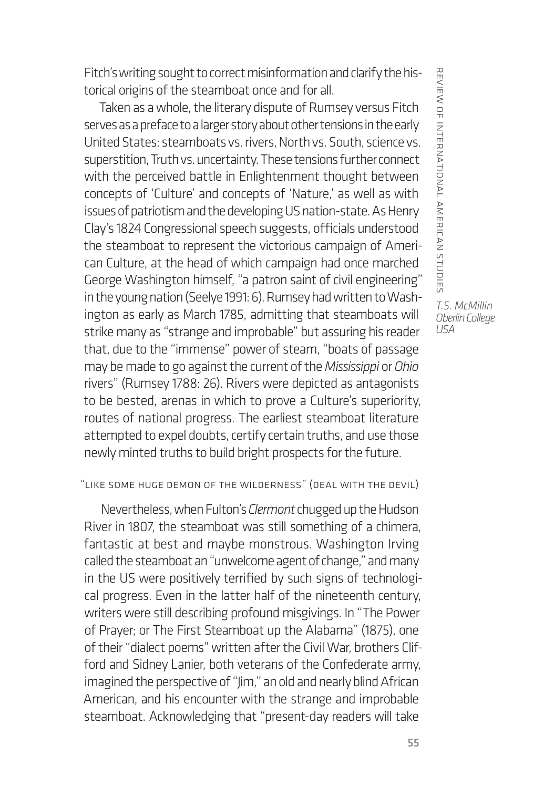Fitch's writing sought to correct misinformation and clarify the historical origins of the steamboat once and for all.

Taken as a whole, the literary dispute of Rumsey versus Fitch serves as a preface to a larger story about other tensions in the early United States: steamboats vs. rivers, North vs. South, science vs. superstition, Truth vs. uncertainty. These tensions further connect with the perceived battle in Enlightenment thought between concepts of 'Culture' and concepts of 'Nature,' as well as with issues of patriotism and the developing US nation-state. As Henry Clay's 1824 Congressional speech suggests, officials understood the steamboat to represent the victorious campaign of American Culture, at the head of which campaign had once marched George Washington himself, "a patron saint of civil engineering" in the young nation (Seelye 1991: 6). Rumsey had written to Washington as early as March 1785, admitting that steamboats will strike many as "strange and improbable" but assuring his reader that, due to the "immense" power of steam, "boats of passage may be made to go against the current of the *Mississippi* or *Ohio* rivers" (Rumsey 1788: 26). Rivers were depicted as antagonists to be bested, arenas in which to prove a Culture's superiority, routes of national progress. The earliest steamboat literature attempted to expel doubts, certify certain truths, and use those newly minted truths to build bright prospects for the future.

## "Like Some Huge Demon of the Wilderness" (Deal with the Devil)

Nevertheless, when Fulton's *Clermont* chugged up the Hudson River in 1807, the steamboat was still something of a chimera, fantastic at best and maybe monstrous. Washington Irving called the steamboat an "unwelcome agent of change," and many in the US were positively terrified by such signs of technological progress. Even in the latter half of the nineteenth century, writers were still describing profound misgivings. In "The Power of Prayer; or The First Steamboat up the Alabama" (1875), one of their "dialect poems" written after the Civil War, brothers Clifford and Sidney Lanier, both veterans of the Confederate army, imagined the perspective of "Jim," an old and nearly blind African American, and his encounter with the strange and improbable steamboat. Acknowledging that "present-day readers will take

REVIEW OF INTERNATIONAL AMERICAN STUDIES review of international american studies *T.S. McMillin Oberlin College*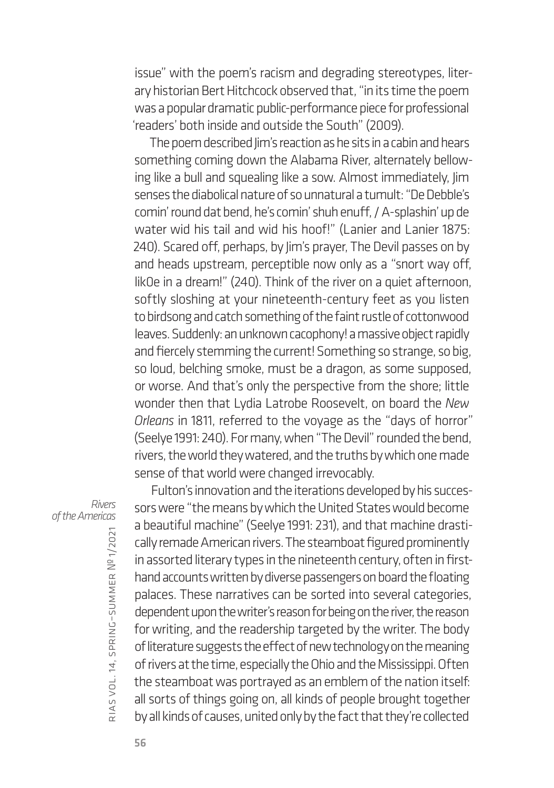issue" with the poem's racism and degrading stereotypes, literary historian Bert Hitchcock observed that, "in its time the poem was a popular dramatic public-performance piece for professional 'readers' both inside and outside the South" (2009).

The poem described Jim's reaction as he sits in a cabin and hears something coming down the Alabama River, alternately bellowing like a bull and squealing like a sow. Almost immediately, Jim senses the diabolical nature of so unnatural a tumult: "De Debble's comin' round dat bend, he's comin' shuh enuff, / A-splashin' up de water wid his tail and wid his hoof!" (Lanier and Lanier 1875: 240). Scared off, perhaps, by Jim's prayer, The Devil passes on by and heads upstream, perceptible now only as a "snort way off, lik0e in a dream!" (240). Think of the river on a quiet afternoon, softly sloshing at your nineteenth-century feet as you listen to birdsong and catch something of the faint rustle of cottonwood leaves. Suddenly: an unknown cacophony! a massive object rapidly and fiercely stemming the current! Something so strange, so big, so loud, belching smoke, must be a dragon, as some supposed, or worse. And that's only the perspective from the shore; little wonder then that Lydia Latrobe Roosevelt, on board the *New Orleans* in 1811, referred to the voyage as the "days of horror" (Seelye 1991: 240). For many, when "The Devil" rounded the bend, rivers, the world they watered, and the truths by which one made sense of that world were changed irrevocably.

*Rivers of the Americas*

Fulton's innovation and the iterations developed by his successors were "the means by which the United States would become a beautiful machine" (Seelye 1991: 231), and that machine drastically remade American rivers. The steamboat figured prominently in assorted literary types in the nineteenth century, often in firsthand accounts written by diverse passengers on board the floating palaces. These narratives can be sorted into several categories, dependent upon the writer's reason for being on the river, the reason for writing, and the readership targeted by the writer. The body of literature suggests the effect of new technology on the meaning of rivers at the time, especially the Ohio and the Mississippi. Often the steamboat was portrayed as an emblem of the nation itself: all sorts of things going on, all kinds of people brought together by all kinds of causes, united only by the fact that they're collected

rias

vol. 14, spring–summer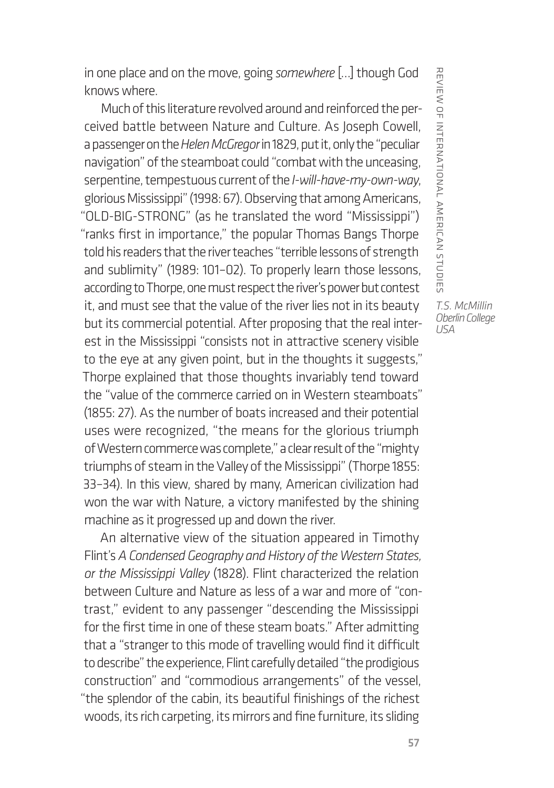in one place and on the move, going *somewhere* […] though God knows where.

Much of this literature revolved around and reinforced the perceived battle between Nature and Culture. As Joseph Cowell, a passenger on the *Helen McGregor* in 1829, put it, only the "peculiar navigation" of the steamboat could "combat with the unceasing, serpentine, tempestuous current of the *I-will-have-my-own-way*, glorious Mississippi" (1998: 67). Observing that among Americans, "OLD-BIG-STRONG" (as he translated the word "Mississippi") "ranks first in importance," the popular Thomas Bangs Thorpe told his readers that the river teaches "terrible lessons of strength and sublimity" (1989: 101–02). To properly learn those lessons, according to Thorpe, one must respect the river's power but contest it, and must see that the value of the river lies not in its beauty but its commercial potential. After proposing that the real interest in the Mississippi "consists not in attractive scenery visible to the eye at any given point, but in the thoughts it suggests," Thorpe explained that those thoughts invariably tend toward the "value of the commerce carried on in Western steamboats" (1855: 27). As the number of boats increased and their potential uses were recognized, "the means for the glorious triumph of Western commerce was complete," a clear result of the "mighty triumphs of steam in the Valley of the Mississippi" (Thorpe 1855: 33–34). In this view, shared by many, American civilization had won the war with Nature, a victory manifested by the shining machine as it progressed up and down the river.

An alternative view of the situation appeared in Timothy Flint's *A Condensed Geography and History of the Western States, or the Mississippi Valley* (1828). Flint characterized the relation between Culture and Nature as less of a war and more of "contrast," evident to any passenger "descending the Mississippi for the first time in one of these steam boats." After admitting that a "stranger to this mode of travelling would find it difficult to describe" the experience, Flint carefully detailed "the prodigious construction" and "commodious arrangements" of the vessel, "the splendor of the cabin, its beautiful finishings of the richest woods, its rich carpeting, its mirrors and fine furniture, its sliding

REVIERINTERNAL AMERICAN STUDIES *T.S. McMillin Oberlin College*

review of international american studies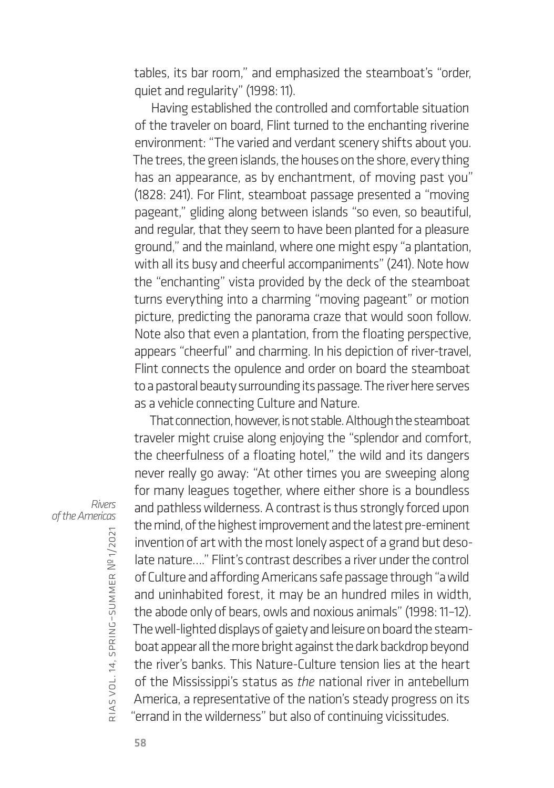tables, its bar room," and emphasized the steamboat's "order, quiet and regularity" (1998: 11).

Having established the controlled and comfortable situation of the traveler on board, Flint turned to the enchanting riverine environment: "The varied and verdant scenery shifts about you. The trees, the green islands, the houses on the shore, every thing has an appearance, as by enchantment, of moving past you" (1828: 241). For Flint, steamboat passage presented a "moving pageant," gliding along between islands "so even, so beautiful, and regular, that they seem to have been planted for a pleasure ground," and the mainland, where one might espy "a plantation, with all its busy and cheerful accompaniments" (241). Note how the "enchanting" vista provided by the deck of the steamboat turns everything into a charming "moving pageant" or motion picture, predicting the panorama craze that would soon follow. Note also that even a plantation, from the floating perspective, appears "cheerful" and charming. In his depiction of river-travel, Flint connects the opulence and order on board the steamboat to a pastoral beauty surrounding its passage. The river here serves as a vehicle connecting Culture and Nature.

That connection, however, is not stable. Although the steamboat traveler might cruise along enjoying the "splendor and comfort, the cheerfulness of a floating hotel," the wild and its dangers never really go away: "At other times you are sweeping along for many leagues together, where either shore is a boundless and pathless wilderness. A contrast is thus strongly forced upon the mind, of the highest improvement and the latest pre-eminent invention of art with the most lonely aspect of a grand but desolate nature…." Flint's contrast describes a river under the control of Culture and affording Americans safe passage through "a wild and uninhabited forest, it may be an hundred miles in width, the abode only of bears, owls and noxious animals" (1998: 11–12). The well-lighted displays of gaiety and leisure on board the steamboat appear all the more bright against the dark backdrop beyond the river's banks. This Nature-Culture tension lies at the heart of the Mississippi's status as *the* national river in antebellum America, a representative of the nation's steady progress on its "errand in the wilderness" but also of continuing vicissitudes.

*Rivers of the Americas*

rias

vol. 14, spring–summer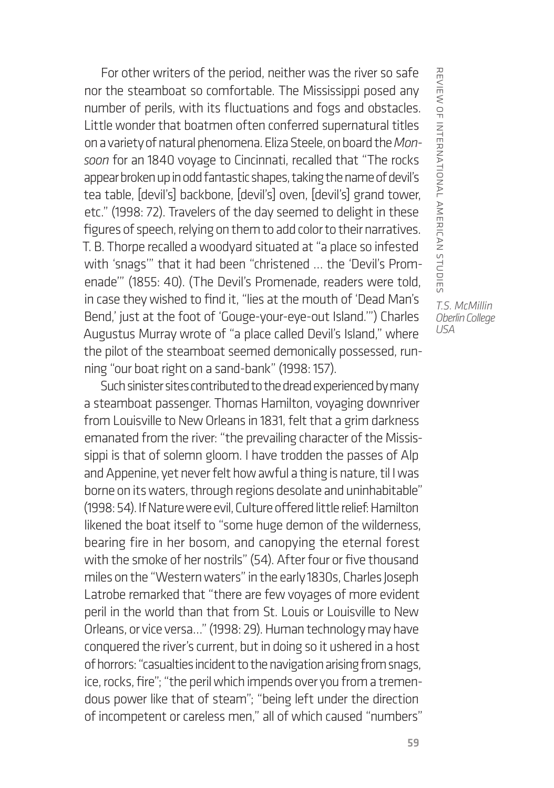For other writers of the period, neither was the river so safe nor the steamboat so comfortable. The Mississippi posed any number of perils, with its fluctuations and fogs and obstacles. Little wonder that boatmen often conferred supernatural titles on a variety of natural phenomena. Eliza Steele, on board the *Monsoon* for an 1840 voyage to Cincinnati, recalled that "The rocks appear broken up in odd fantastic shapes, taking the name of devil's tea table, [devil's] backbone, [devil's] oven, [devil's] grand tower, etc." (1998: 72). Travelers of the day seemed to delight in these figures of speech, relying on them to add color to their narratives. T. B. Thorpe recalled a woodyard situated at "a place so infested with 'snags'" that it had been "christened … the 'Devil's Promenade'" (1855: 40). (The Devil's Promenade, readers were told, in case they wished to find it, "lies at the mouth of 'Dead Man's Bend,' just at the foot of 'Gouge-your-eye-out Island.'") Charles Augustus Murray wrote of "a place called Devil's Island," where the pilot of the steamboat seemed demonically possessed, running "our boat right on a sand-bank" (1998: 157).

Such sinister sites contributed to the dread experienced by many a steamboat passenger. Thomas Hamilton, voyaging downriver from Louisville to New Orleans in 1831, felt that a grim darkness emanated from the river: "the prevailing character of the Mississippi is that of solemn gloom. I have trodden the passes of Alp and Appenine, yet never felt how awful a thing is nature, til I was borne on its waters, through regions desolate and uninhabitable" (1998: 54). If Nature were evil, Culture offered little relief: Hamilton likened the boat itself to "some huge demon of the wilderness, bearing fire in her bosom, and canopying the eternal forest with the smoke of her nostrils" (54). After four or five thousand miles on the "Western waters" in the early 1830s, Charles Joseph Latrobe remarked that "there are few voyages of more evident peril in the world than that from St. Louis or Louisville to New Orleans, or vice versa…" (1998: 29). Human technology may have conquered the river's current, but in doing so it ushered in a host of horrors: "casualties incident to the navigation arising from snags, ice, rocks, fire"; "the peril which impends over you from a tremendous power like that of steam"; "being left under the direction of incompetent or careless men," all of which caused "numbers" REVIERINTERNAL AMERICAN STUDIES review of international american studies

*T.S. McMillin Oberlin College USA*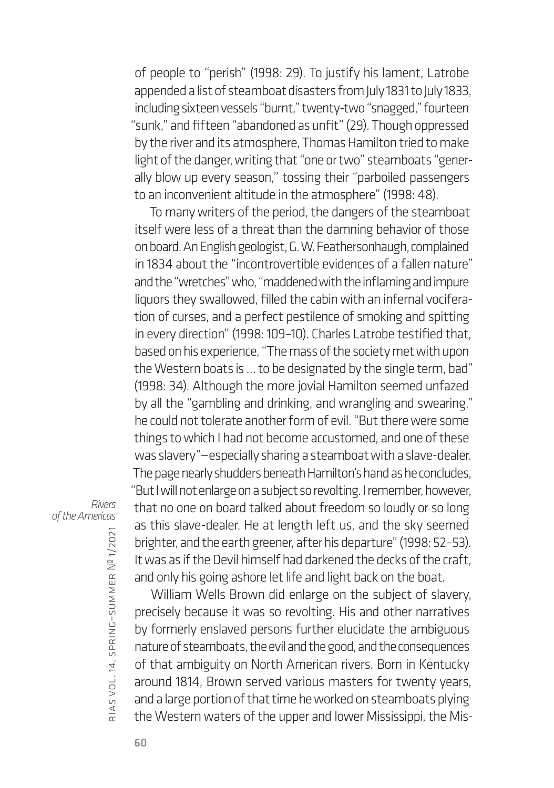of people to "perish" (1998: 29). To justify his lament, Latrobe appended a list of steamboat disasters from July 1831 to July 1833, including sixteen vessels "burnt," twenty-two "snagged," fourteen "sunk," and fifteen "abandoned as unfit" (29). Though oppressed by the river and its atmosphere, Thomas Hamilton tried to make light of the danger, writing that "one or two" steamboats "generally blow up every season," tossing their "parboiled passengers to an inconvenient altitude in the atmosphere" (1998: 48).

To many writers of the period, the dangers of the steamboat itself were less of a threat than the damning behavior of those on board. An English geologist, G. W. Feathersonhaugh, complained in 1834 about the "incontrovertible evidences of a fallen nature" and the "wretches" who, "maddened with the inflaming and impure liquors they swallowed, filled the cabin with an infernal vociferation of curses, and a perfect pestilence of smoking and spitting in every direction" (1998: 109–10). Charles Latrobe testified that, based on his experience, "The mass of the society met with upon the Western boats is … to be designated by the single term, bad" (1998: 34). Although the more jovial Hamilton seemed unfazed by all the "gambling and drinking, and wrangling and swearing," he could not tolerate another form of evil. "But there were some things to which I had not become accustomed, and one of these was slavery"—especially sharing a steamboat with a slave-dealer. The page nearly shudders beneath Hamilton's hand as he concludes, "But I will not enlarge on a subject so revolting. I remember, however, that no one on board talked about freedom so loudly or so long

*Rivers of the Americas*

rias vol. 14, spring–summer № 1/2021

William Wells Brown did enlarge on the subject of slavery, precisely because it was so revolting. His and other narratives by formerly enslaved persons further elucidate the ambiguous nature of steamboats, the evil and the good, and the consequences of that ambiguity on North American rivers. Born in Kentucky around 1814, Brown served various masters for twenty years, and a large portion of that time he worked on steamboats plying the Western waters of the upper and lower Mississippi, the Mis-

as this slave-dealer. He at length left us, and the sky seemed brighter, and the earth greener, after his departure" (1998: 52–53). It was as if the Devil himself had darkened the decks of the craft, and only his going ashore let life and light back on the boat.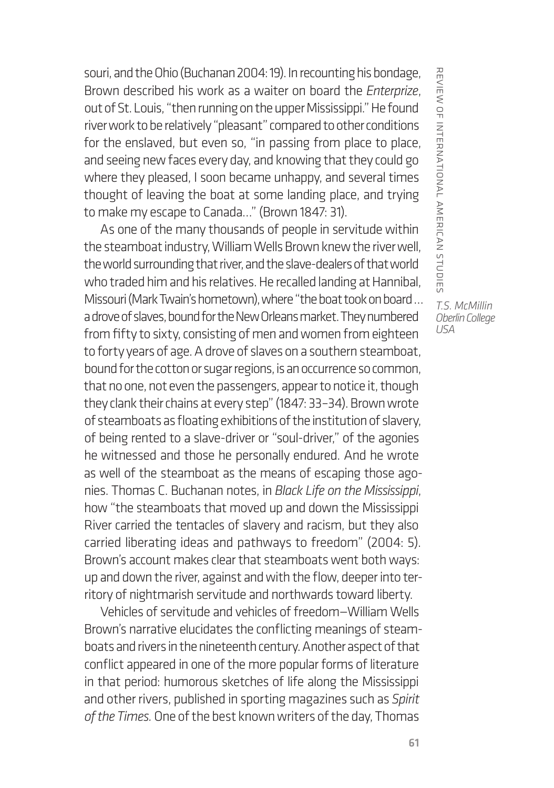souri, and the Ohio (Buchanan 2004: 19). In recounting his bondage, Brown described his work as a waiter on board the *Enterprize*, out of St. Louis, "then running on the upper Mississippi." He found river work to be relatively "pleasant" compared to other conditions for the enslaved, but even so, "in passing from place to place, and seeing new faces every day, and knowing that they could go where they pleased, I soon became unhappy, and several times thought of leaving the boat at some landing place, and trying to make my escape to Canada…" (Brown 1847: 31).

As one of the many thousands of people in servitude within the steamboat industry, William Wells Brown knew the river well, the world surrounding that river, and the slave-dealers of that world who traded him and his relatives. He recalled landing at Hannibal, Missouri (Mark Twain's hometown), where "the boat took on board … a drove of slaves, bound for the New Orleans market. They numbered from fifty to sixty, consisting of men and women from eighteen to forty years of age. A drove of slaves on a southern steamboat, bound for the cotton or sugar regions, is an occurrence so common, that no one, not even the passengers, appear to notice it, though they clank their chains at every step" (1847: 33–34). Brown wrote of steamboats as floating exhibitions of the institution of slavery, of being rented to a slave-driver or "soul-driver," of the agonies he witnessed and those he personally endured. And he wrote as well of the steamboat as the means of escaping those agonies. Thomas C. Buchanan notes, in *Black Life on the Mississippi*, how "the steamboats that moved up and down the Mississippi River carried the tentacles of slavery and racism, but they also carried liberating ideas and pathways to freedom" (2004: 5). Brown's account makes clear that steamboats went both ways: up and down the river, against and with the flow, deeper into territory of nightmarish servitude and northwards toward liberty.

Vehicles of servitude and vehicles of freedom—William Wells Brown's narrative elucidates the conflicting meanings of steamboats and rivers in the nineteenth century. Another aspect of that conflict appeared in one of the more popular forms of literature in that period: humorous sketches of life along the Mississippi and other rivers, published in sporting magazines such as *Spirit of the Times.* One of the best known writers of the day, Thomas

REVIEW OF INTERNATIONAL AMERICAN STUDIES review of international american studies *T.S. McMillin Oberlin College*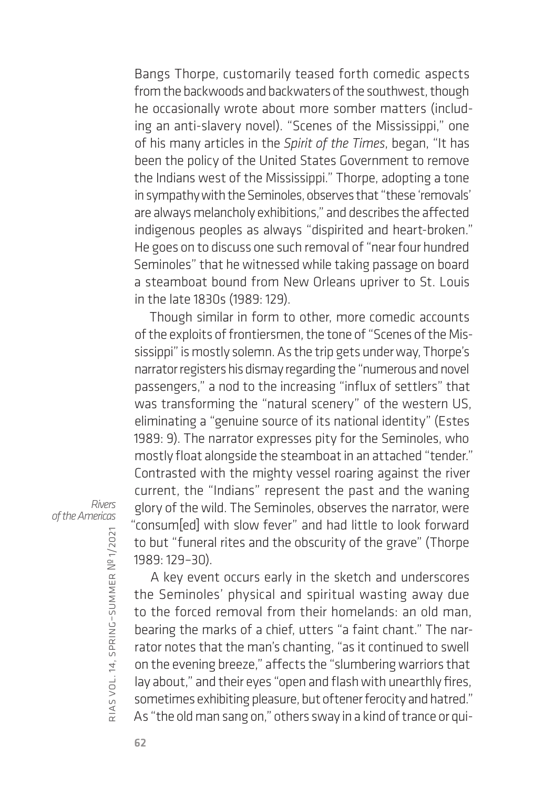Bangs Thorpe, customarily teased forth comedic aspects from the backwoods and backwaters of the southwest, though he occasionally wrote about more somber matters (including an anti-slavery novel). "Scenes of the Mississippi," one of his many articles in the *Spirit of the Times*, began, "It has been the policy of the United States Government to remove the Indians west of the Mississippi." Thorpe, adopting a tone in sympathy with the Seminoles, observes that "these 'removals' are always melancholy exhibitions," and describes the affected indigenous peoples as always "dispirited and heart-broken." He goes on to discuss one such removal of "near four hundred Seminoles" that he witnessed while taking passage on board a steamboat bound from New Orleans upriver to St. Louis in the late 1830s (1989: 129).

Though similar in form to other, more comedic accounts of the exploits of frontiersmen, the tone of "Scenes of the Mississippi" is mostly solemn. As the trip gets under way, Thorpe's narrator registers his dismay regarding the "numerous and novel passengers," a nod to the increasing "influx of settlers" that was transforming the "natural scenery" of the western US, eliminating a "genuine source of its national identity" (Estes 1989: 9). The narrator expresses pity for the Seminoles, who mostly float alongside the steamboat in an attached "tender." Contrasted with the mighty vessel roaring against the river current, the "Indians" represent the past and the waning glory of the wild. The Seminoles, observes the narrator, were "consum[ed] with slow fever" and had little to look forward to but "funeral rites and the obscurity of the grave" (Thorpe 1989: 129–30).

*Rivers of the Americas*

> A key event occurs early in the sketch and underscores the Seminoles' physical and spiritual wasting away due to the forced removal from their homelands: an old man, bearing the marks of a chief, utters "a faint chant." The narrator notes that the man's chanting, "as it continued to swell on the evening breeze," affects the "slumbering warriors that lay about," and their eyes "open and flash with unearthly fires, sometimes exhibiting pleasure, but oftener ferocity and hatred." As "the old man sang on," others sway in a kind of trance or qui-

rias

vol. 14, spring–summer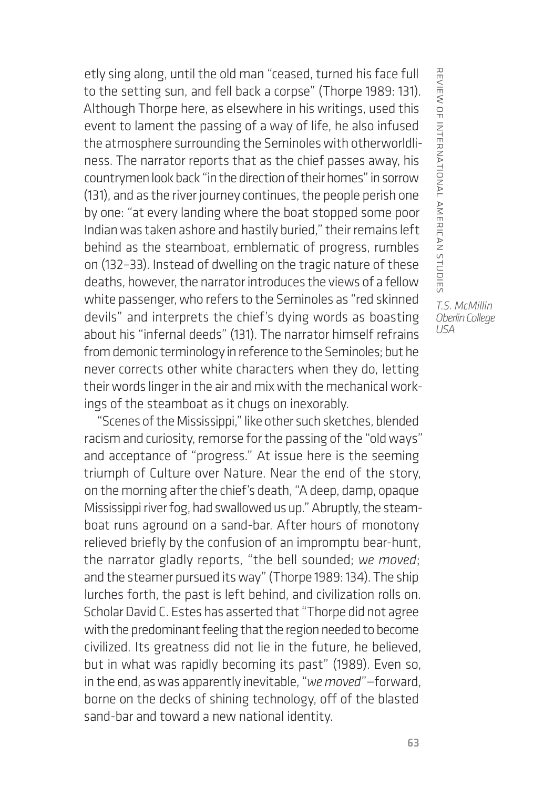etly sing along, until the old man "ceased, turned his face full to the setting sun, and fell back a corpse" (Thorpe 1989: 131). Although Thorpe here, as elsewhere in his writings, used this event to lament the passing of a way of life, he also infused the atmosphere surrounding the Seminoles with otherworldliness. The narrator reports that as the chief passes away, his countrymen look back "in the direction of their homes" in sorrow (131), and as the river journey continues, the people perish one by one: "at every landing where the boat stopped some poor Indian was taken ashore and hastily buried," their remains left behind as the steamboat, emblematic of progress, rumbles on (132–33). Instead of dwelling on the tragic nature of these deaths, however, the narrator introduces the views of a fellow white passenger, who refers to the Seminoles as "red skinned devils" and interprets the chief's dying words as boasting about his "infernal deeds" (131). The narrator himself refrains from demonic terminology in reference to the Seminoles; but he never corrects other white characters when they do, letting their words linger in the air and mix with the mechanical workings of the steamboat as it chugs on inexorably.

"Scenes of the Mississippi," like other such sketches, blended racism and curiosity, remorse for the passing of the "old ways" and acceptance of "progress." At issue here is the seeming triumph of Culture over Nature. Near the end of the story, on the morning after the chief's death, "A deep, damp, opaque Mississippi river fog, had swallowed us up." Abruptly, the steamboat runs aground on a sand-bar. After hours of monotony relieved briefly by the confusion of an impromptu bear-hunt, the narrator gladly reports, "the bell sounded; *we moved*; and the steamer pursued its way" (Thorpe 1989: 134). The ship lurches forth, the past is left behind, and civilization rolls on. Scholar David C. Estes has asserted that "Thorpe did not agree with the predominant feeling that the region needed to become civilized. Its greatness did not lie in the future, he believed, but in what was rapidly becoming its past" (1989). Even so, in the end, as was apparently inevitable, "*we moved*"—forward, borne on the decks of shining technology, off of the blasted sand-bar and toward a new national identity.

REVIERINTERNAL AMERICAN STUDIES review of international american studies *T.S. McMillin Oberlin College*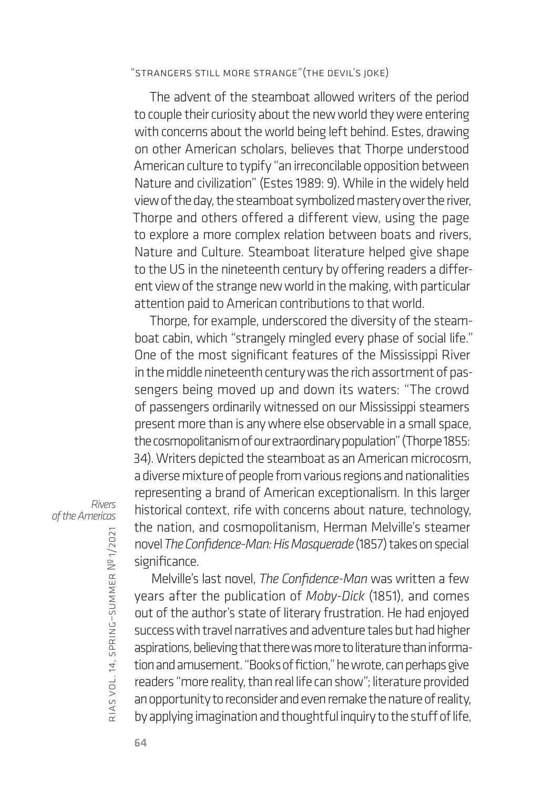"Strangers Still More Strange"(The Devil's Joke)

The advent of the steamboat allowed writers of the period to couple their curiosity about the new world they were entering with concerns about the world being left behind. Estes, drawing on other American scholars, believes that Thorpe understood American culture to typify "an irreconcilable opposition between Nature and civilization" (Estes 1989: 9). While in the widely held view of the day, the steamboat symbolized mastery over the river, Thorpe and others offered a different view, using the page to explore a more complex relation between boats and rivers, Nature and Culture. Steamboat literature helped give shape to the US in the nineteenth century by offering readers a different view of the strange new world in the making, with particular attention paid to American contributions to that world.

Thorpe, for example, underscored the diversity of the steamboat cabin, which "strangely mingled every phase of social life." One of the most significant features of the Mississippi River in the middle nineteenth century was the rich assortment of passengers being moved up and down its waters: "The crowd of passengers ordinarily witnessed on our Mississippi steamers present more than is any where else observable in a small space, the cosmopolitanism of our extraordinary population" (Thorpe 1855: 34). Writers depicted the steamboat as an American microcosm, a diverse mixture of people from various regions and nationalities representing a brand of American exceptionalism. In this larger historical context, rife with concerns about nature, technology, the nation, and cosmopolitanism, Herman Melville's steamer novel *The Confidence-Man: His Masquerade* (1857) takes on special significance.

*Rivers of the Americas*

> Melville's last novel, *The Confidence-Man* was written a few years after the publication of *Moby-Dick* (1851), and comes out of the author's state of literary frustration. He had enjoyed success with travel narratives and adventure tales but had higher aspirations, believing that there was more to literature than information and amusement. "Books of fiction," he wrote, can perhaps give readers "more reality, than real life can show"; literature provided an opportunity to reconsider and even remake the nature of reality, by applying imagination and thoughtful inquiry to the stuff of life,

rias

vol. 14, spring–summer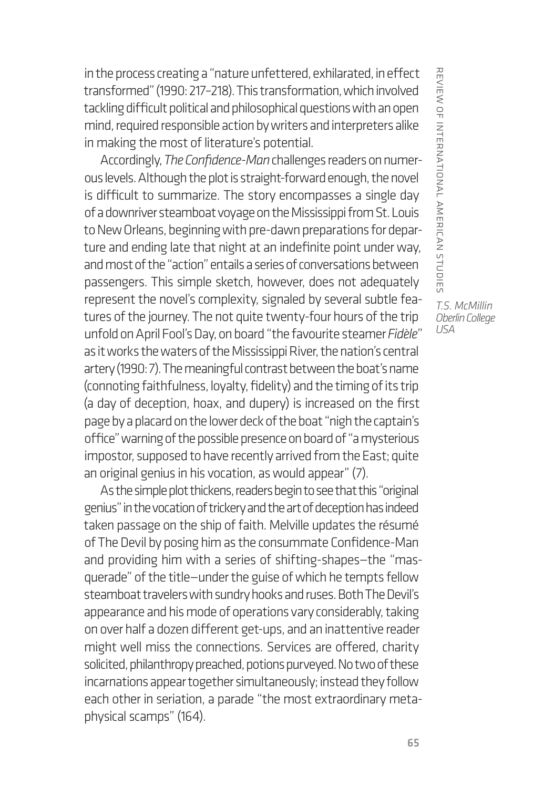in the process creating a "nature unfettered, exhilarated, in effect transformed" (1990: 217–218). This transformation, which involved tackling difficult political and philosophical questions with an open mind, required responsible action by writers and interpreters alike in making the most of literature's potential.

Accordingly, *The Confidence-Man* challenges readers on numerous levels. Although the plot is straight-forward enough, the novel is difficult to summarize. The story encompasses a single day of a downriver steamboat voyage on the Mississippi from St. Louis to New Orleans, beginning with pre-dawn preparations for departure and ending late that night at an indefinite point under way, and most of the "action" entails a series of conversations between passengers. This simple sketch, however, does not adequately represent the novel's complexity, signaled by several subtle features of the journey. The not quite twenty-four hours of the trip unfold on April Fool's Day, on board "the favourite steamer *Fidèle*" as it works the waters of the Mississippi River, the nation's central artery (1990: 7). The meaningful contrast between the boat's name (connoting faithfulness, loyalty, fidelity) and the timing of its trip (a day of deception, hoax, and dupery) is increased on the first page by a placard on the lower deck of the boat "nigh the captain's office" warning of the possible presence on board of "a mysterious impostor, supposed to have recently arrived from the East; quite an original genius in his vocation, as would appear" (7).

As the simple plot thickens, readers begin to see that this "original genius" in the vocation of trickery and the art of deception has indeed taken passage on the ship of faith. Melville updates the résumé of The Devil by posing him as the consummate Confidence-Man and providing him with a series of shifting-shapes—the "masquerade" of the title—under the guise of which he tempts fellow steamboat travelers with sundry hooks and ruses. Both The Devil's appearance and his mode of operations vary considerably, taking on over half a dozen different get-ups, and an inattentive reader might well miss the connections. Services are offered, charity solicited, philanthropy preached, potions purveyed. No two of these incarnations appear together simultaneously; instead they follow each other in seriation, a parade "the most extraordinary metaphysical scamps" (164).

REVIEW OF INTERNATIONAL AMERICAN STUDIES review of international american studies *T.S. McMillin*

*Oberlin College USA*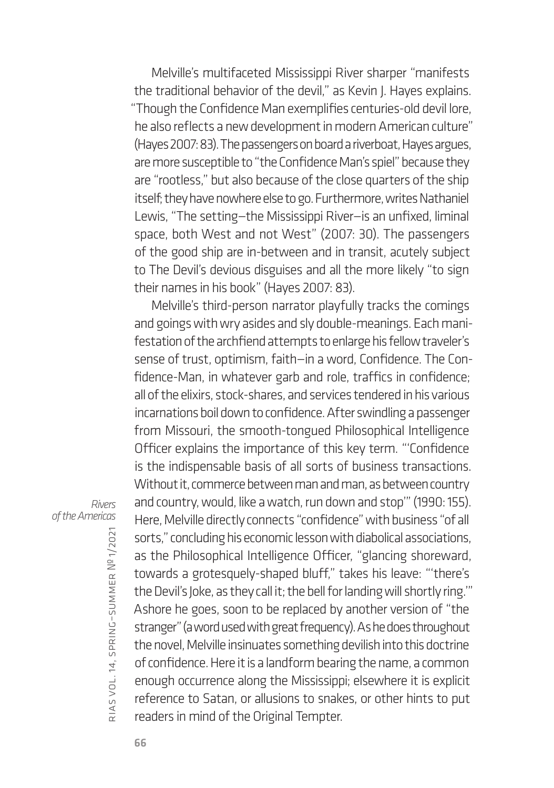Melville's multifaceted Mississippi River sharper "manifests the traditional behavior of the devil," as Kevin J. Hayes explains. "Though the Confidence Man exemplifies centuries-old devil lore, he also reflects a new development in modern American culture" (Hayes 2007: 83). The passengers on board a riverboat, Hayes argues, are more susceptible to "the Confidence Man's spiel" because they are "rootless," but also because of the close quarters of the ship itself; they have nowhere else to go. Furthermore, writes Nathaniel Lewis, "The setting—the Mississippi River—is an unfixed, liminal space, both West and not West" (2007: 30). The passengers of the good ship are in-between and in transit, acutely subject to The Devil's devious disguises and all the more likely "to sign their names in his book" (Hayes 2007: 83).

Melville's third-person narrator playfully tracks the comings and goings with wry asides and sly double-meanings. Each manifestation of the archfiend attempts to enlarge his fellow traveler's sense of trust, optimism, faith—in a word, Confidence. The Confidence-Man, in whatever garb and role, traffics in confidence; all of the elixirs, stock-shares, and services tendered in his various incarnations boil down to confidence. After swindling a passenger from Missouri, the smooth-tongued Philosophical Intelligence Officer explains the importance of this key term. "'Confidence is the indispensable basis of all sorts of business transactions. Without it, commerce between man and man, as between country and country, would, like a watch, run down and stop'" (1990: 155). Here, Melville directly connects "confidence" with business "of all sorts," concluding his economic lesson with diabolical associations, as the Philosophical Intelligence Officer, "glancing shoreward, towards a grotesquely-shaped bluff," takes his leave: "'there's the Devil's Joke, as they call it; the bell for landing will shortly ring.'" Ashore he goes, soon to be replaced by another version of "the stranger" (a word used with great frequency). As he does throughout the novel, Melville insinuates something devilish into this doctrine of confidence. Here it is a landform bearing the name, a common enough occurrence along the Mississippi; elsewhere it is explicit reference to Satan, or allusions to snakes, or other hints to put readers in mind of the Original Tempter.

*Rivers of the Americas*

rias

vol. 14, spring–summer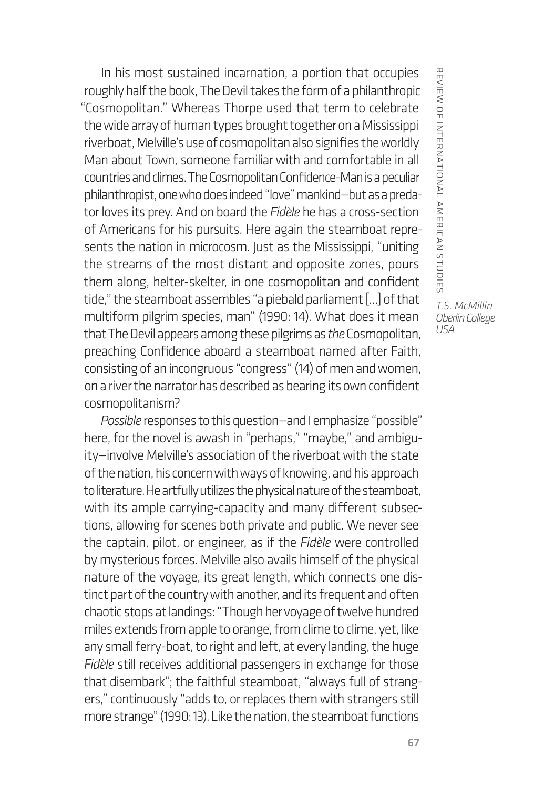In his most sustained incarnation, a portion that occupies roughly half the book, The Devil takes the form of a philanthropic "Cosmopolitan." Whereas Thorpe used that term to celebrate the wide array of human types brought together on a Mississippi riverboat, Melville's use of cosmopolitan also signifies the worldly Man about Town, someone familiar with and comfortable in all countries and climes. The Cosmopolitan Confidence-Man is a peculiar philanthropist, one who does indeed "love" mankind—but as a predator loves its prey. And on board the *Fidèle* he has a cross-section of Americans for his pursuits. Here again the steamboat represents the nation in microcosm. Just as the Mississippi, "uniting the streams of the most distant and opposite zones, pours them along, helter-skelter, in one cosmopolitan and confident tide," the steamboat assembles "a piebald parliament […] of that multiform pilgrim species, man" (1990: 14). What does it mean that The Devil appears among these pilgrims as *the* Cosmopolitan, preaching Confidence aboard a steamboat named after Faith, consisting of an incongruous "congress" (14) of men and women, on a river the narrator has described as bearing its own confident cosmopolitanism?

*Possible* responses to this question—and I emphasize "possible" here, for the novel is awash in "perhaps," "maybe," and ambiguity—involve Melville's association of the riverboat with the state of the nation, his concern with ways of knowing, and his approach to literature. He artfully utilizes the physical nature of the steamboat, with its ample carrying-capacity and many different subsections, allowing for scenes both private and public. We never see the captain, pilot, or engineer, as if the *Fidèle* were controlled by mysterious forces. Melville also avails himself of the physical nature of the voyage, its great length, which connects one distinct part of the country with another, and its frequent and often chaotic stops at landings: "Though her voyage of twelve hundred miles extends from apple to orange, from clime to clime, yet, like any small ferry-boat, to right and left, at every landing, the huge *Fidèle* still receives additional passengers in exchange for those that disembark"; the faithful steamboat, "always full of strangers," continuously "adds to, or replaces them with strangers still more strange" (1990: 13). Like the nation, the steamboat functions

REVIERINTERNAL AMERICAN STUDIES review of international american studies *T.S. McMillin Oberlin College*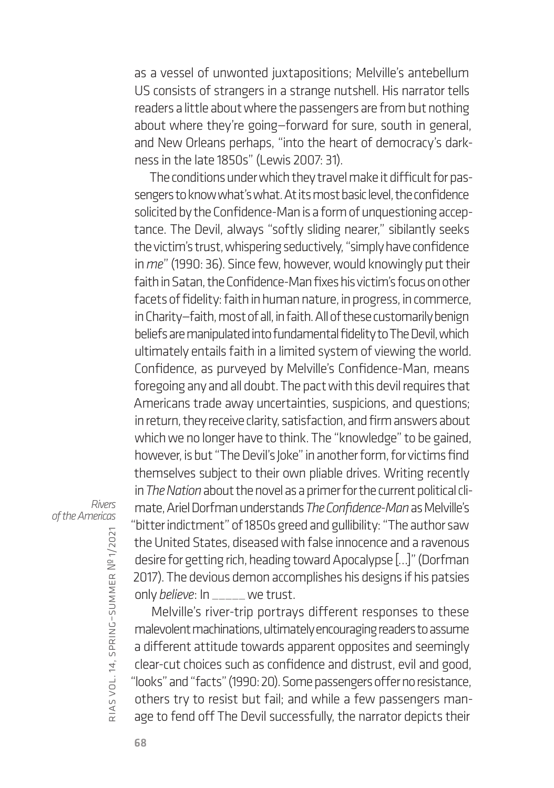as a vessel of unwonted juxtapositions; Melville's antebellum US consists of strangers in a strange nutshell. His narrator tells readers a little about where the passengers are from but nothing about where they're going—forward for sure, south in general, and New Orleans perhaps, "into the heart of democracy's darkness in the late 1850s" (Lewis 2007: 31).

The conditions under which they travel make it difficult for passengers to know what's what. At its most basic level, the confidence solicited by the Confidence-Man is a form of unquestioning acceptance. The Devil, always "softly sliding nearer," sibilantly seeks the victim's trust, whispering seductively, "simply have confidence in *me*" (1990: 36). Since few, however, would knowingly put their faith in Satan, the Confidence-Man fixes his victim's focus on other facets of fidelity: faith in human nature, in progress, in commerce, in Charity—faith, most of all, in faith. All of these customarily benign beliefs are manipulated into fundamental fidelity to The Devil, which ultimately entails faith in a limited system of viewing the world. Confidence, as purveyed by Melville's Confidence-Man, means foregoing any and all doubt. The pact with this devil requires that Americans trade away uncertainties, suspicions, and questions; in return, they receive clarity, satisfaction, and firm answers about which we no longer have to think. The "knowledge" to be gained, however, is but "The Devil's Joke" in another form, for victims find themselves subject to their own pliable drives. Writing recently in *The Nation* about the novel as a primer for the current political climate, Ariel Dorfman understands *The Confidence-Man* as Melville's "bitter indictment" of 1850s greed and gullibility: "The author saw the United States, diseased with false innocence and a ravenous desire for getting rich, heading toward Apocalypse […]" (Dorfman 2017). The devious demon accomplishes his designs if his patsies only *believe*: In \_\_\_\_\_ we trust.

*Rivers of the Americas*

rias vol. 14, spring–summer № 1/2021

Melville's river-trip portrays different responses to these malevolent machinations, ultimately encouraging readers to assume a different attitude towards apparent opposites and seemingly clear-cut choices such as confidence and distrust, evil and good, "looks" and "facts" (1990: 20). Some passengers offer no resistance, others try to resist but fail; and while a few passengers manage to fend off The Devil successfully, the narrator depicts their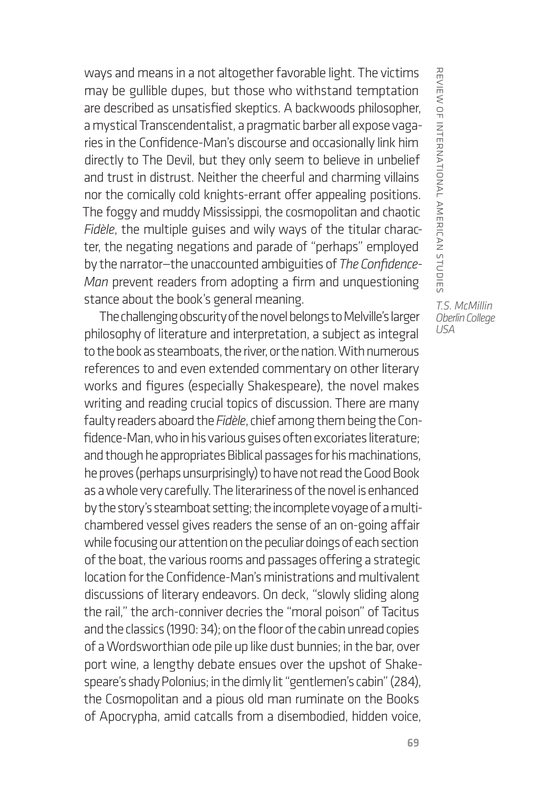ways and means in a not altogether favorable light. The victims may be gullible dupes, but those who withstand temptation are described as unsatisfied skeptics. A backwoods philosopher, a mystical Transcendentalist, a pragmatic barber all expose vagaries in the Confidence-Man's discourse and occasionally link him directly to The Devil, but they only seem to believe in unbelief and trust in distrust. Neither the cheerful and charming villains nor the comically cold knights-errant offer appealing positions. The foggy and muddy Mississippi, the cosmopolitan and chaotic *Fidèle*, the multiple guises and wily ways of the titular character, the negating negations and parade of "perhaps" employed by the narrator—the unaccounted ambiguities of *The Confidence-Man* prevent readers from adopting a firm and unquestioning stance about the book's general meaning.

The challenging obscurity of the novel belongs to Melville's larger philosophy of literature and interpretation, a subject as integral to the book as steamboats, the river, or the nation. With numerous references to and even extended commentary on other literary works and figures (especially Shakespeare), the novel makes writing and reading crucial topics of discussion. There are many faulty readers aboard the *Fidèle*, chief among them being the Confidence-Man, who in his various guises often excoriates literature; and though he appropriates Biblical passages for his machinations, he proves (perhaps unsurprisingly) to have not read the Good Book as a whole very carefully. The literariness of the novel is enhanced by the story's steamboat setting; the incomplete voyage of a multichambered vessel gives readers the sense of an on-going affair while focusing our attention on the peculiar doings of each section of the boat, the various rooms and passages offering a strategic location for the Confidence-Man's ministrations and multivalent discussions of literary endeavors. On deck, "slowly sliding along the rail," the arch-conniver decries the "moral poison" of Tacitus and the classics (1990: 34); on the floor of the cabin unread copies of a Wordsworthian ode pile up like dust bunnies; in the bar, over port wine, a lengthy debate ensues over the upshot of Shakespeare's shady Polonius; in the dimly lit "gentlemen's cabin" (284), the Cosmopolitan and a pious old man ruminate on the Books of Apocrypha, amid catcalls from a disembodied, hidden voice, REVIEW OF INTERNATIONAL AMERICAN STUDIES *T.S. McMillin*

*Oberlin College USA*

review of international american studies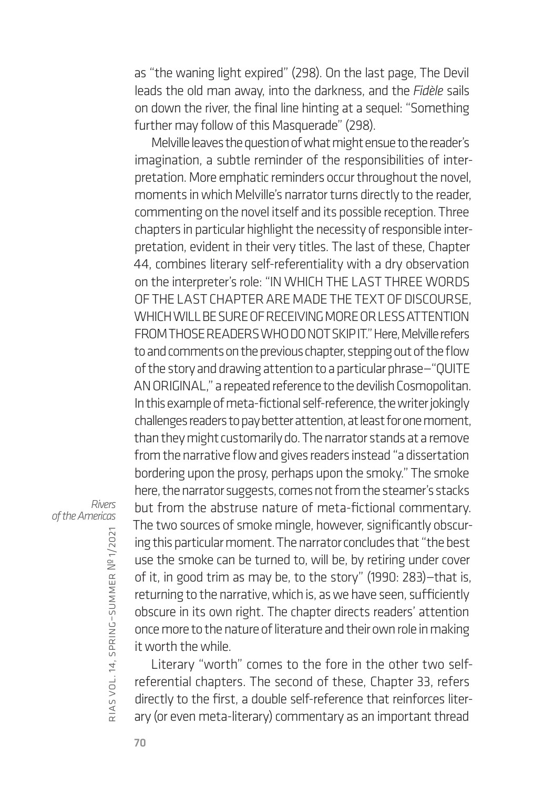as "the waning light expired" (298). On the last page, The Devil leads the old man away, into the darkness, and the *Fidèle* sails on down the river, the final line hinting at a sequel: "Something further may follow of this Masquerade" (298).

Melville leaves the question of what might ensue to the reader's imagination, a subtle reminder of the responsibilities of interpretation. More emphatic reminders occur throughout the novel, moments in which Melville's narrator turns directly to the reader, commenting on the novel itself and its possible reception. Three chapters in particular highlight the necessity of responsible interpretation, evident in their very titles. The last of these, Chapter 44, combines literary self-referentiality with a dry observation on the interpreter's role: "IN WHICH THE LAST THREE WORDS OF THE LAST CHAPTER ARE MADE THE TEXT OF DISCOURSE, WHICH WILL BE SURE OF RECEIVING MORE OR LESS ATTENTION FROM THOSE READERS WHO DO NOT SKIP IT." Here, Melville refers to and comments on the previous chapter, stepping out of the flow of the story and drawing attention to a particular phrase—"QUITE AN ORIGINAL," a repeated reference to the devilish Cosmopolitan. In this example of meta-fictional self-reference, the writer jokingly challenges readers to pay better attention, at least for one moment, than they might customarily do. The narrator stands at a remove from the narrative flow and gives readers instead "a dissertation bordering upon the prosy, perhaps upon the smoky." The smoke here, the narrator suggests, comes not from the steamer's stacks but from the abstruse nature of meta-fictional commentary. The two sources of smoke mingle, however, significantly obscuring this particular moment. The narrator concludes that "the best use the smoke can be turned to, will be, by retiring under cover of it, in good trim as may be, to the story" (1990: 283)—that is, returning to the narrative, which is, as we have seen, sufficiently obscure in its own right. The chapter directs readers' attention once more to the nature of literature and their own role in making it worth the while.

Literary "worth" comes to the fore in the other two selfreferential chapters. The second of these, Chapter 33, refers directly to the first, a double self-reference that reinforces literary (or even meta-literary) commentary as an important thread

*Rivers of the Americas*

rias

vol. 14, spring–summer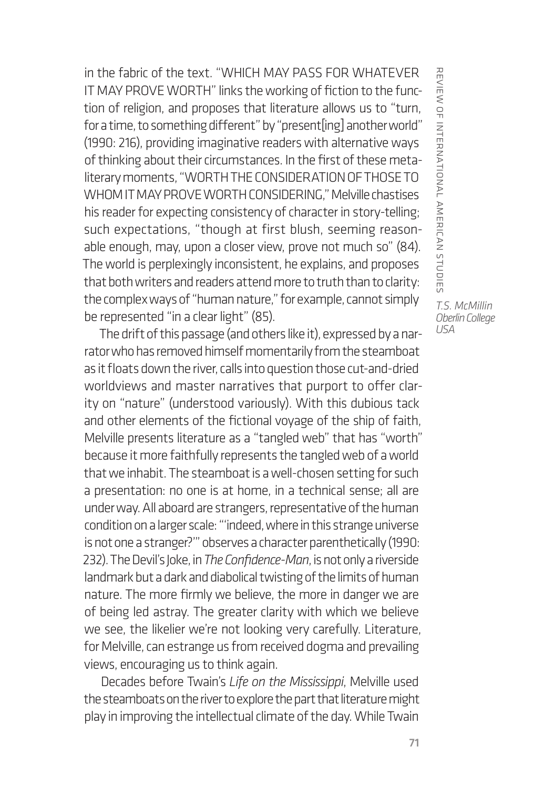in the fabric of the text. "WHICH MAY PASS FOR WHATEVER IT MAY PROVE WORTH" links the working of fiction to the function of religion, and proposes that literature allows us to "turn, for a time, to something different" by "present[ing] another world" (1990: 216), providing imaginative readers with alternative ways of thinking about their circumstances. In the first of these metaliterary moments, "WORTH THE CONSIDERATION OF THOSE TO WHOM IT MAY PROVE WORTH CONSIDERING," Melville chastises his reader for expecting consistency of character in story-telling; such expectations, "though at first blush, seeming reasonable enough, may, upon a closer view, prove not much so" (84). The world is perplexingly inconsistent, he explains, and proposes that both writers and readers attend more to truth than to clarity: the complex ways of "human nature," for example, cannot simply be represented "in a clear light" (85).

The drift of this passage (and others like it), expressed by a narrator who has removed himself momentarily from the steamboat as it floats down the river, calls into question those cut-and-dried worldviews and master narratives that purport to offer clarity on "nature" (understood variously). With this dubious tack and other elements of the fictional voyage of the ship of faith, Melville presents literature as a "tangled web" that has "worth" because it more faithfully represents the tangled web of a world that we inhabit. The steamboat is a well-chosen setting for such a presentation: no one is at home, in a technical sense; all are under way. All aboard are strangers, representative of the human condition on a larger scale: "'indeed, where in this strange universe is not one a stranger?'" observes a character parenthetically (1990: 232). The Devil's Joke, in *The Confidence-Man*, is not only a riverside landmark but a dark and diabolical twisting of the limits of human nature. The more firmly we believe, the more in danger we are of being led astray. The greater clarity with which we believe we see, the likelier we're not looking very carefully. Literature, for Melville, can estrange us from received dogma and prevailing views, encouraging us to think again.

Decades before Twain's *Life on the Mississippi*, Melville used the steamboats on the river to explore the part that literature might play in improving the intellectual climate of the day. While Twain

*T.S. McMillin Oberlin College*

review of international american studies

REVIERINTERNAL AMERICAN STUDIES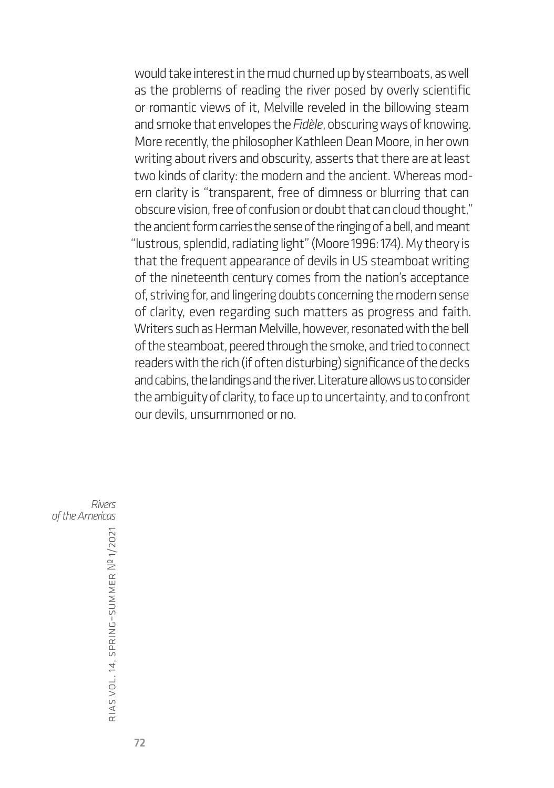would take interest in the mud churned up by steamboats, as well as the problems of reading the river posed by overly scientific or romantic views of it, Melville reveled in the billowing steam and smoke that envelopes the *Fidèle*, obscuring ways of knowing. More recently, the philosopher Kathleen Dean Moore, in her own writing about rivers and obscurity, asserts that there are at least two kinds of clarity: the modern and the ancient. Whereas modern clarity is "transparent, free of dimness or blurring that can obscure vision, free of confusion or doubt that can cloud thought," the ancient form carries the sense of the ringing of a bell, and meant "lustrous, splendid, radiating light" (Moore 1996: 174). My theory is that the frequent appearance of devils in US steamboat writing of the nineteenth century comes from the nation's acceptance of, striving for, and lingering doubts concerning the modern sense of clarity, even regarding such matters as progress and faith. Writers such as Herman Melville, however, resonated with the bell of the steamboat, peered through the smoke, and tried to connect readers with the rich (if often disturbing) significance of the decks and cabins, the landings and the river. Literature allows us to consider the ambiguity of clarity, to face up to uncertainty, and to confront our devils, unsummoned or no.

*Rivers of the Americas*

rias vol. 14, spring–summer № 1/2021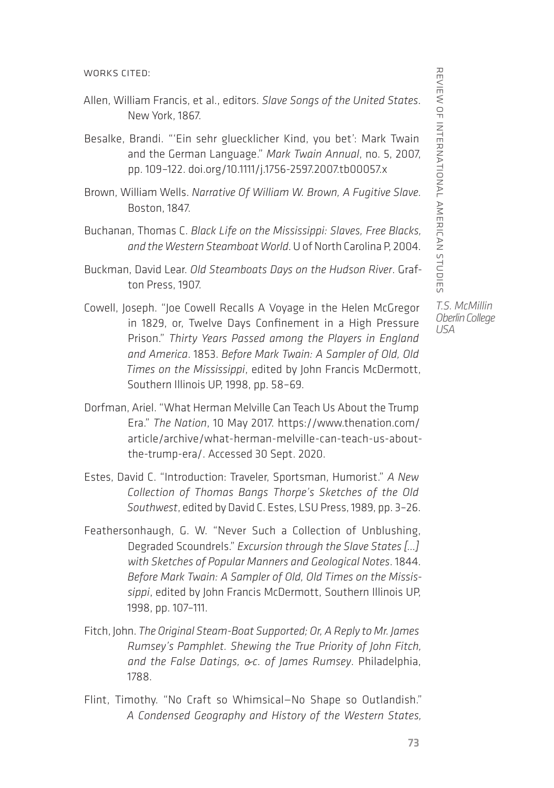WORKS CITED:

- Allen, William Francis, et al., editors. *Slave Songs of the United States*. New York, 1867.
- Besalke, Brandi. "'Ein sehr gluecklicher Kind, you bet': Mark Twain and the German Language." *Mark Twain Annual*, no. 5, 2007, pp. 109–122. [doi.org/10.1111/j.1756-2597.2007.tb00057.x](file:///C:\Users\nathaniel.racine\AppData\Local\Microsoft\Windows\INetCache\Content.Outlook\MR57487N\doi.org\10.1111\j.1756-2597.2007.tb00057.x)
- Brown, William Wells. *Narrative Of William W. Brown, A Fugitive Slave.* Boston, 1847.
- Buchanan, Thomas C. *Black Life on the Mississippi: Slaves, Free Blacks, and the Western Steamboat World*. U of North Carolina P, 2004.
- Buckman, David Lear. *Old Steamboats Days on the Hudson River*. Grafton Press, 1907.
- Cowell, Joseph. "Joe Cowell Recalls A Voyage in the Helen McGregor in 1829, or, Twelve Days Confinement in a High Pressure Prison." *Thirty Years Passed among the Players in England and America*. 1853. *Before Mark Twain: A Sampler of Old, Old Times on the Mississippi*, edited by John Francis McDermott, Southern Illinois UP, 1998, pp. 58–69.
- Dorfman, Ariel. "What Herman Melville Can Teach Us About the Trump Era." *The Nation*, 10 May 2017. [https://www.thenation.com/](https://www.thenation.com/article/archive/what-herman-melville-can-teach-us-about-the-trump-era/) [article/archive/what-herman-melville-can-teach-us-about](https://www.thenation.com/article/archive/what-herman-melville-can-teach-us-about-the-trump-era/)[the-trump-era/](https://www.thenation.com/article/archive/what-herman-melville-can-teach-us-about-the-trump-era/). Accessed 30 Sept. 2020.
- Estes, David C. "Introduction: Traveler, Sportsman, Humorist." *A New Collection of Thomas Bangs Thorpe's Sketches of the Old Southwest*, edited by David C. Estes, LSU Press, 1989, pp. 3–26.
- Feathersonhaugh, G. W. "Never Such a Collection of Unblushing, Degraded Scoundrels." *Excursion through the Slave States […] with Sketches of Popular Manners and Geological Notes*. 1844. *Before Mark Twain: A Sampler of Old, Old Times on the Mississippi*, edited by John Francis McDermott, Southern Illinois UP, 1998, pp. 107–111.
- Fitch, John. *The Original Steam-Boat Supported; Or, A Reply to Mr. James Rumsey's Pamphlet. Shewing the True Priority of John Fitch, and the False Datings, &c. of James Rumsey*. Philadelphia, 1788.
- Flint, Timothy. "No Craft so Whimsical—No Shape so Outlandish." *A Condensed Geography and History of the Western States,*

REVIEW OF INTERNATIONAL AMERICAN STUDIES review of international american studies

*T.S. McMillin Oberlin College USA*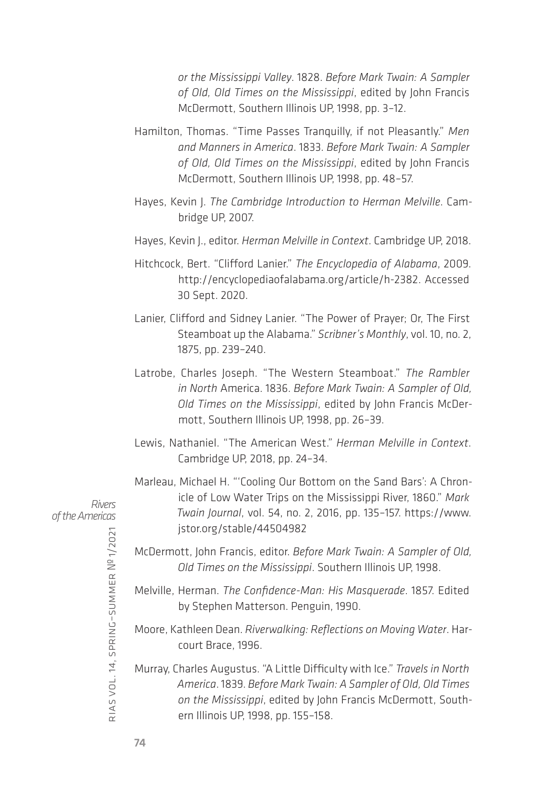*or the Mississippi Valley*. 1828. *Before Mark Twain: A Sampler of Old, Old Times on the Mississippi*, edited by John Francis McDermott, Southern Illinois UP, 1998, pp. 3–12.

- Hamilton, Thomas. "Time Passes Tranquilly, if not Pleasantly." *Men and Manners in America*. 1833. *Before Mark Twain: A Sampler of Old, Old Times on the Mississippi*, edited by John Francis McDermott, Southern Illinois UP, 1998, pp. 48–57.
- Hayes, Kevin J. *The Cambridge Introduction to Herman Melville*. Cambridge UP, 2007.
- Hayes, Kevin J., editor. *Herman Melville in Context*. Cambridge UP, 2018.
- Hitchcock, Bert. "Clifford Lanier." *The Encyclopedia of Alabama*, 2009. <http://encyclopediaofalabama.org/article/h-2382>. Accessed 30 Sept. 2020.
- Lanier, Clifford and Sidney Lanier. "The Power of Prayer; Or, The First Steamboat up the Alabama." *Scribner's Monthly*, vol. 10, no. 2, 1875, pp. 239–240.
- Latrobe, Charles Joseph. "The Western Steamboat." *The Rambler in North* America. 1836. *Before Mark Twain: A Sampler of Old, Old Times on the Mississippi*, edited by John Francis McDermott, Southern Illinois UP, 1998, pp. 26–39.
- Lewis, Nathaniel. "The American West." *Herman Melville in Context*. Cambridge UP, 2018, pp. 24–34.
- Marleau, Michael H. "'Cooling Our Bottom on the Sand Bars': A Chronicle of Low Water Trips on the Mississippi River, 1860." *Mark Twain Journal*, vol. 54, no. 2, 2016, pp. 135–157. [https://www.](https://www.jstor.org/stable/44504982) [jstor.org/stable/44504982](https://www.jstor.org/stable/44504982)
- McDermott, John Francis, editor. *Before Mark Twain: A Sampler of Old, Old Times on the Mississippi*. Southern Illinois UP, 1998.
- Melville, Herman. *The Confidence-Man: His Masquerade*. 1857. Edited by Stephen Matterson. Penguin, 1990.
- Moore, Kathleen Dean. *Riverwalking: Reflections on Moving Water*. Harcourt Brace, 1996.
- Murray, Charles Augustus. "A Little Difficulty with Ice." *Travels in North America*. 1839. *Before Mark Twain: A Sampler of Old, Old Times on the Mississippi*, edited by John Francis McDermott, Southern Illinois UP, 1998, pp. 155–158.

*Rivers of the Americas*

rias

vol. 14, spring–summer